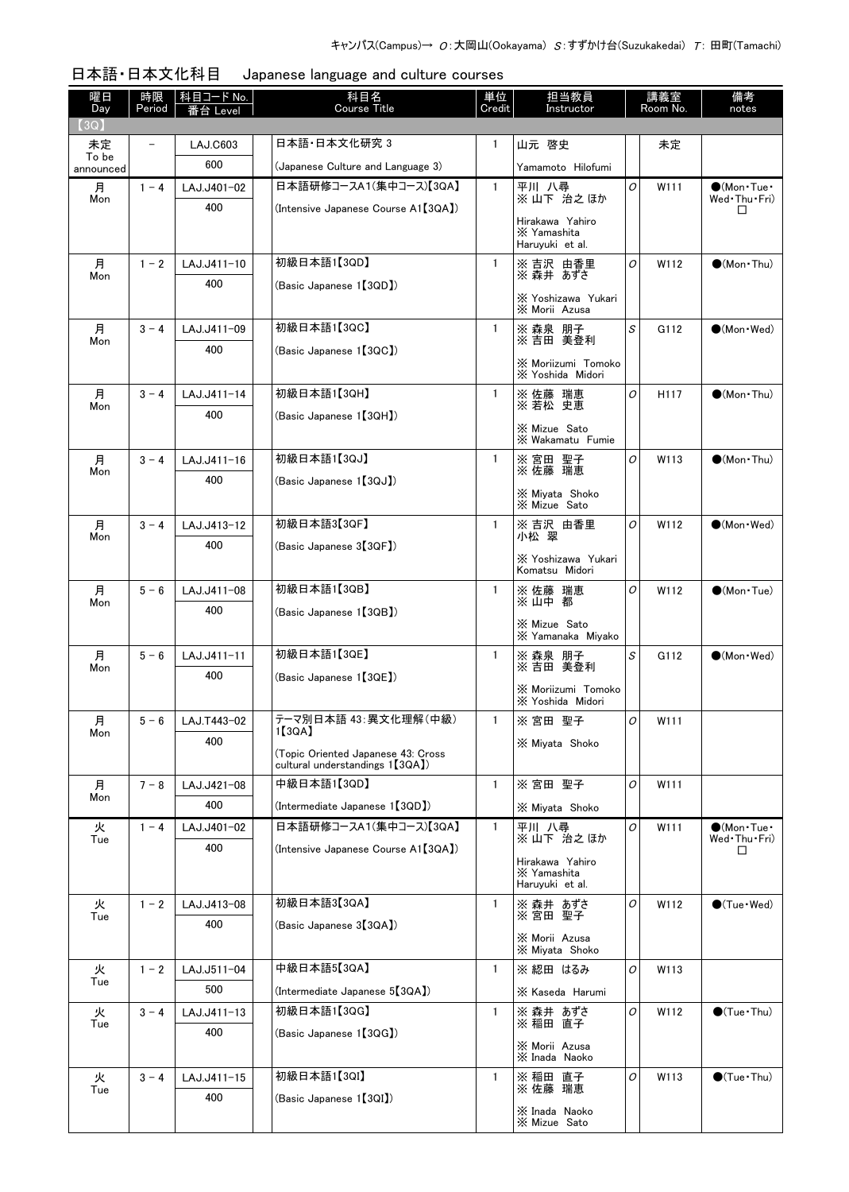| 日本語·日本文化科目 Japanese language and culture courses |
|--------------------------------------------------|

| 曜日<br>Day      | 時限<br>Period | 科目コード No.<br>≸台 Level | 科目名<br><b>Course Title</b>                                             | 単位<br>Credit | 担当教員<br>Instructor                                |   | 講義室<br>Room No. | 備考<br>notes                          |
|----------------|--------------|-----------------------|------------------------------------------------------------------------|--------------|---------------------------------------------------|---|-----------------|--------------------------------------|
| [3Q]<br>未定     |              | <b>LAJ.C603</b>       | 日本語•日本文化研究 3                                                           | 1            | 山元 啓史                                             |   | 未定              |                                      |
| To be          |              | 600                   | (Japanese Culture and Language 3)                                      |              | Yamamoto Hilofumi                                 |   |                 |                                      |
| announced<br>月 | $1 - 4$      | LAJ.J401-02           | 日本語研修コースA1(集中コース)【3QA】                                                 | $\mathbf{1}$ | 平川 八尋                                             | 0 | W111            | $\bigcirc$ (Mon Tue $\cdot$          |
| Mon            |              | 400                   | (Intensive Japanese Course A1【3QA】)                                    |              | ※山下 治之ほか                                          |   |                 | Wed Thu Fri)<br>$\Box$               |
|                |              |                       |                                                                        |              | Hirakawa Yahiro<br>X Yamashita<br>Haruyuki et al. |   |                 |                                      |
| 月<br>Mon       | $1 - 2$      | LAJ.J411-10           | 初級日本語1【3QD】                                                            | $\mathbf{1}$ | ※ 吉沢 由香里<br>※ 森井 あずさ                              | 0 | W112            | $\bullet$ (Mon Thu)                  |
|                |              | 400                   | (Basic Japanese 1【3QD】)                                                |              | X Yoshizawa Yukari<br>X Morii Azusa               |   |                 |                                      |
| 月              | $3 - 4$      | LAJ.J411-09           | 初級日本語1【3QC】                                                            | $\mathbf{1}$ | ※ 森泉 朋子<br>※ 吉田 美登利                               | S | G112            | $\bullet$ (Mon · Wed)                |
| Mon            |              | 400                   | (Basic Japanese 1【3QC】)                                                |              |                                                   |   |                 |                                      |
|                |              |                       |                                                                        |              | X Moriizumi Tomoko<br>X Yoshida Midori            |   |                 |                                      |
| 月<br>Mon       | $3 - 4$      | LAJ.J411-14           | 初級日本語1【3QH】                                                            | $\mathbf{1}$ | ※ 佐藤 瑞恵<br>※若松 史恵                                 | O | H117            | $\bigcirc$ (Mon Thu)                 |
|                |              | 400                   | (Basic Japanese 1【3QH】)                                                |              | X Mizue Sato                                      |   |                 |                                      |
|                |              |                       |                                                                        |              | X Wakamatu Fumie                                  |   |                 |                                      |
| 月<br>Mon       | $3 - 4$      | LAJ.J411-16           | 初級日本語1【3QJ】                                                            | $\mathbf{1}$ | ※ 宮田 聖子<br>※ 佐藤 瑞恵                                | 0 | W113            | $\bigcirc$ (Mon Thu)                 |
|                |              | 400                   | (Basic Japanese 1【3QJ】)                                                |              | X Miyata Shoko<br>X Mizue Sato                    |   |                 |                                      |
| 月              | $3 - 4$      | LAJ.J413-12           | 初級日本語3【3QF】                                                            | $\mathbf{1}$ | ※吉沢 由香里<br>小松 翠                                   | 0 | W112            | $\bigcirc$ (Mon · Wed)               |
| Mon            |              | 400                   | (Basic Japanese 3【3QF】)                                                |              | X Yoshizawa Yukari                                |   |                 |                                      |
|                |              |                       |                                                                        |              | Komatsu Midori                                    |   |                 |                                      |
| 月<br>Mon       | $5 - 6$      | LAJ.J411-08           | 初級日本語1【3QB】                                                            | $\mathbf{1}$ | ※ 佐藤 瑞恵<br>※山中都                                   | 0 | W112            | $\bigcirc$ (Mon Tue)                 |
|                |              | 400                   | (Basic Japanese 1【3QB】)                                                |              | X Mizue Sato                                      |   |                 |                                      |
|                |              |                       |                                                                        |              | X Yamanaka Mivako                                 |   |                 |                                      |
| 月<br>Mon       | $5 - 6$      | LAJ.J411-11           | 初級日本語1【3QE】                                                            | $\mathbf{1}$ | ※ 森泉 朋子<br>※吉田 美登利                                | S | G112            | $(Mon \cdot Wed)$                    |
|                |              | 400                   | (Basic Japanese 1【3QE】)                                                |              | X Moriizumi Tomoko                                |   |                 |                                      |
|                |              | LAJ.T443-02           | テーマ別日本語 43: 異文化理解(中級)                                                  | $\mathbf{1}$ | X Yoshida Midori                                  | 0 | W111            |                                      |
| 月<br>Mon       | $5 - 6$      | 400                   | 1[3QA]                                                                 |              | ※ 宮田 聖子<br>X Miyata Shoko                         |   |                 |                                      |
|                |              |                       | (Topic Oriented Japanese 43: Cross<br>cultural understandings 1 [3QA]) |              |                                                   |   |                 |                                      |
| 月              | $7 - 8$      | LAJ.J421-08           | 中級日本語1【3QD】                                                            | $\mathbf{1}$ | ※宮田 聖子                                            | 0 | W111            |                                      |
| Mon            |              | 400                   | (Intermediate Japanese 1【3QD】)                                         |              | X Mivata Shoko                                    |   |                 |                                      |
| 火              | $1 - 4$      | LAJ.J401-02           | 日本語研修コースA1(集中コース)【3QA】                                                 | $\mathbf{1}$ | 平川八尋<br>※山下 治之ほか                                  | 0 | W111            | $\bigcirc$ (Mon·Tue·<br>Wed Thu Fri) |
| Tue            |              | 400                   | (Intensive Japanese Course A1【3QA】)                                    |              | Hirakawa Yahiro                                   |   |                 | □                                    |
|                |              |                       |                                                                        |              | X Yamashita<br>Haruyuki et al.                    |   |                 |                                      |
| 火<br>Tue       | $1 - 2$      | LAJ.J413-08           | 初級日本語3【3QA】                                                            | $\mathbf{1}$ | ※ 森井 あずさ<br>※宮田 聖子                                | 0 | W112            | $\bigcirc$ (Tue · Wed)               |
|                |              | 400                   | (Basic Japanese 3【3QA】)                                                |              | X Morii Azusa                                     |   |                 |                                      |
|                |              |                       |                                                                        |              | X Miyata Shoko                                    |   |                 |                                      |
| 火<br>Tue       | $1 - 2$      | LAJ.J511-04           | 中級日本語5【3QA】                                                            | $\mathbf{1}$ | ※ 綛田 はるみ                                          | 0 | W113            |                                      |
|                |              | 500                   | (Intermediate Japanese 5[3QA])                                         |              | X Kaseda Harumi                                   |   |                 |                                      |
| 火<br>Tue       | $3 - 4$      | LAJ.J411-13           | 初級日本語1【3QG】                                                            | $\mathbf{1}$ | ※ 森井 あずさ<br>※ 稲田 直子                               | 0 | W112            | $\bigcirc$ (Tue · Thu)               |
|                |              | 400                   | (Basic Japanese 1【3QG】)                                                |              | X Morii Azusa                                     |   |                 |                                      |
| 火              | $3 - 4$      | LAJ.J411-15           | 初級日本語1【3QI】                                                            | $\mathbf{1}$ | X Inada Naoko                                     | 0 | W113            | $\bigcirc$ (Tue · Thu)               |
| Tue            |              | 400                   | (Basic Japanese 1【3QI】)                                                |              | ※ 稲田 直子<br>※ 佐藤 瑞恵                                |   |                 |                                      |
|                |              |                       |                                                                        |              | X Inada Naoko<br>X Mizue Sato                     |   |                 |                                      |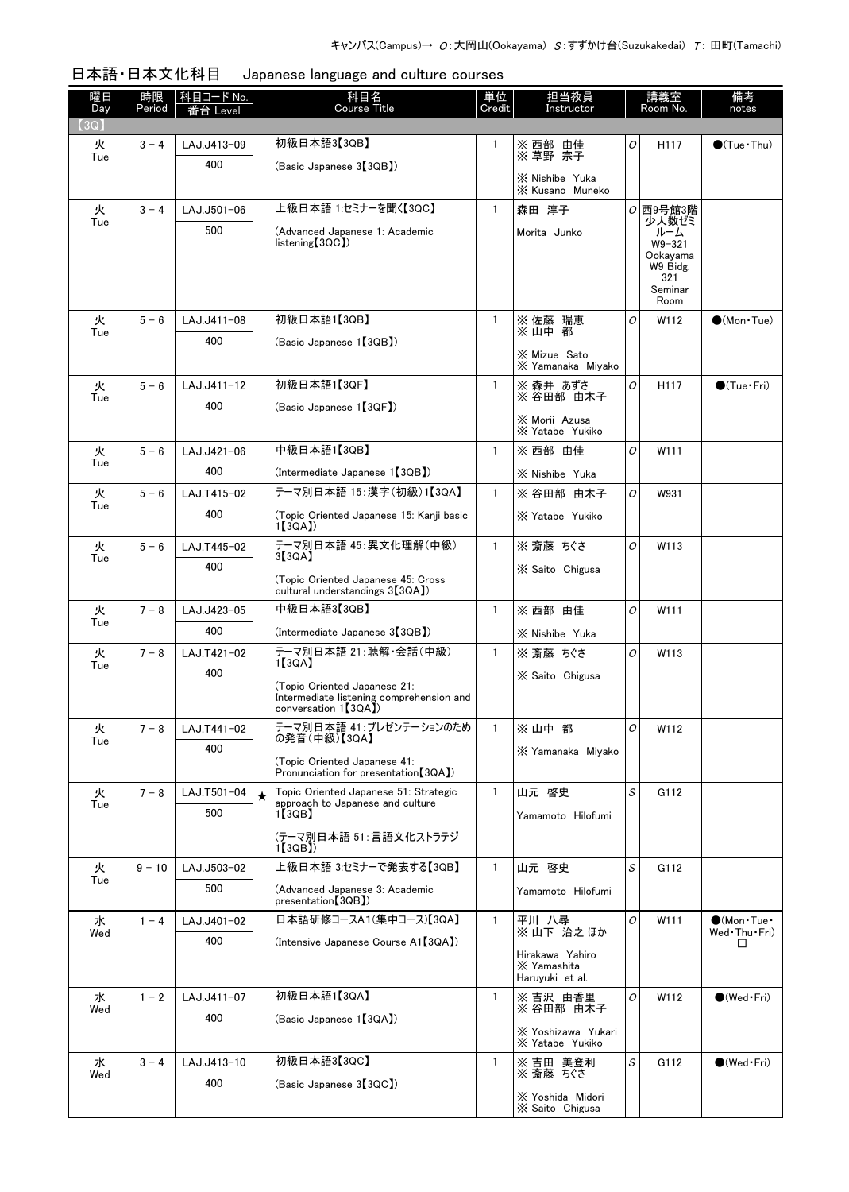| 曜日<br>Day | 時限<br>Period | │科目コード No. │<br>番台 Level |         | 科目名<br><b>Course Title</b>                                                                       | 単位<br>Credit | 担当教員<br>Instructor                                |   | 講義室<br>Room No.                                       | 備考<br>notes                 |
|-----------|--------------|--------------------------|---------|--------------------------------------------------------------------------------------------------|--------------|---------------------------------------------------|---|-------------------------------------------------------|-----------------------------|
| 【3Q】      |              |                          |         |                                                                                                  |              |                                                   |   |                                                       |                             |
| 火<br>Tue  | $3 - 4$      | LAJ.J413-09              |         | 初級日本語3【3QB】                                                                                      | 1            | ※ 西部 由佳<br>※ 草野 宗子                                | O | H <sub>117</sub>                                      | $\bullet$ (Tue • Thu)       |
|           |              | 400                      |         | (Basic Japanese 3【3QB】)                                                                          |              | X Nishibe Yuka<br>X Kusano Muneko                 |   |                                                       |                             |
| 火         | $3 - 4$      | LAJ.J501-06              |         | 上級日本語 1:セミナーを聞く【3QC】                                                                             | $\mathbf{1}$ | 森田 淳子                                             |   | $O$ 西9号館3階                                            |                             |
| Tue       |              | 500                      |         | (Advanced Japanese 1: Academic<br>listening[3QC])                                                |              | Morita Junko                                      |   | 少人数ゼミ<br>ルーム<br>W9-321<br>Ookavama<br>W9 Bidg.<br>321 |                             |
|           |              |                          |         |                                                                                                  |              |                                                   |   | Seminar<br>Room                                       |                             |
| 火         | $5 - 6$      | LAJ.J411-08              |         | 初級日本語1【3QB】                                                                                      | $\mathbf{1}$ | ※ 佐藤 瑞恵<br>※ 山中 都                                 | O | W112                                                  | $\bullet$ (Mon Tue)         |
| Tue       |              | 400                      |         | (Basic Japanese 1【3QB】)                                                                          |              |                                                   |   |                                                       |                             |
|           |              |                          |         |                                                                                                  |              | X Mizue Sato<br>X Yamanaka Miyako                 |   |                                                       |                             |
| 火<br>Tue  | $5 - 6$      | LAJ.J411-12              |         | 初級日本語1【3QF】                                                                                      | $\mathbf{1}$ | ※ 森井 あずさ<br>※ 谷田部 由木子                             | O | H117                                                  | $\bullet$ (Tue $\cdot$ Fri) |
|           |              | 400                      |         | (Basic Japanese 1【3QF】)                                                                          |              | X Morii Azusa                                     |   |                                                       |                             |
|           |              |                          |         |                                                                                                  |              | X Yatabe Yukiko                                   |   |                                                       |                             |
| 火<br>Tue  | $5 - 6$      | LAJ.J421-06              |         | 中級日本語1【3QB】                                                                                      | $\mathbf{1}$ | ※ 西部 由佳                                           | O | W111                                                  |                             |
|           |              | 400                      |         | (Intermediate Japanese 1【3QB】)                                                                   |              | X Nishibe Yuka                                    |   |                                                       |                             |
| 火<br>Tue  | $5 - 6$      | LAJ.T415-02              |         | テーマ別日本語 15:漢字(初級)1【3QA】                                                                          | $\mathbf{1}$ | ※ 谷田部 由木子                                         | O | W931                                                  |                             |
|           |              | 400                      |         | (Topic Oriented Japanese 15: Kanji basic<br>1(3QA)                                               |              | X Yatabe Yukiko                                   |   |                                                       |                             |
| 火         | $5 - 6$      | LAJ.T445-02              |         | テーマ別日本語 45:異文化理解(中級)<br>3[3QA]                                                                   | $\mathbf{1}$ | ※ 斎藤 ちぐさ                                          | O | W113                                                  |                             |
| Tue       |              | 400                      |         | (Topic Oriented Japanese 45: Cross<br>cultural understandings 3 <sup>[3QA]</sup> )               |              | X Saito Chigusa                                   |   |                                                       |                             |
| 火         | $7 - 8$      | LAJ.J423-05              |         | 中級日本語3【3QB】                                                                                      | $\mathbf{1}$ | ※ 西部 由佳                                           | O | W111                                                  |                             |
| Tue       |              | 400                      |         | (Intermediate Japanese 3(3QB))                                                                   |              | X Nishibe Yuka                                    |   |                                                       |                             |
| 火         | $7 - 8$      | LAJ.T421-02              |         | テーマ別日本語 21:聴解・会話(中級)                                                                             | $\mathbf{1}$ | ※ 斎藤 ちぐさ                                          | O | W113                                                  |                             |
| Tue       |              | 400                      |         | 1[3QA]                                                                                           |              | X Saito Chigusa                                   |   |                                                       |                             |
|           |              |                          |         | (Topic Oriented Japanese 21:<br>Intermediate listening comprehension and<br>conversation 1[3QA]) |              |                                                   |   |                                                       |                             |
| 火<br>Tue  | $7 - 8$      | LAJ.T441-02              |         | テーマ別日本語 41: プレゼンテーションのため<br>の発音(中級)【3QA】                                                         | $\mathbf{1}$ | ※山中都                                              | O | W112                                                  |                             |
|           |              | 400                      |         | (Topic Oriented Japanese 41:<br>Pronunciation for presentation [3QA])                            |              | X Yamanaka Miyako                                 |   |                                                       |                             |
| 火         | $7 - 8$      | LAJ.T501-04              | $\star$ | Topic Oriented Japanese 51: Strategic                                                            | $\mathbf{1}$ | 山元 啓史                                             | S | G112                                                  |                             |
| Tue       |              | 500                      |         | approach to Japanese and culture<br>1【3QB】                                                       |              | Yamamoto Hilofumi                                 |   |                                                       |                             |
|           |              |                          |         | (テーマ別日本語 51:言語文化ストラテジ<br>1【3QB】                                                                  |              |                                                   |   |                                                       |                             |
| 火         | $9 - 10$     | LAJ.J503-02              |         | 上級日本語 3:セミナーで発表する【3QB】                                                                           | $\mathbf{1}$ | 山元 啓史                                             | S | G112                                                  |                             |
| Tue       |              | 500                      |         | (Advanced Japanese 3: Academic<br>presentation [3QB])                                            |              | Yamamoto Hilofumi                                 |   |                                                       |                             |
| 水         | $1 - 4$      | LAJ.J401-02              |         | 日本語研修コースA1(集中コース)【3QA】                                                                           | $\mathbf{1}$ | 平川 八尋<br>※山下 治之ほか                                 | 0 | W111                                                  | $\bigcirc$ (Mon Tue $\cdot$ |
| Wed       |              | 400                      |         | (Intensive Japanese Course A1【3QA】)                                                              |              |                                                   |   |                                                       | Wed Thu Fri)<br>□           |
|           |              |                          |         |                                                                                                  |              | Hirakawa Yahiro<br>X Yamashita<br>Haruyuki et al. |   |                                                       |                             |
| 水<br>Wed  | $1 - 2$      | LAJ.J411-07              |         | 初級日本語1【3QA】                                                                                      | $\mathbf{1}$ | ※吉沢 由香里<br>※ 谷田部 由不子                              | O | W112                                                  | $\bullet$ (Wed Fri)         |
|           |              | 400                      |         | (Basic Japanese 1【3QA】)                                                                          |              | X Yoshizawa Yukari                                |   |                                                       |                             |
|           |              |                          |         |                                                                                                  |              | X Yatabe Yukiko                                   |   |                                                       |                             |
| 水<br>Wed  | $3 - 4$      | LAJ.J413-10              |         | 初級日本語3【3QC】                                                                                      | 1            | ※ 吉田 美登利<br>※ 斎藤 ちぐさ                              | S | G112                                                  | $\bullet$ (Wed Fri)         |
|           |              | 400                      |         | (Basic Japanese 3【3QC】)                                                                          |              | X Yoshida Midori                                  |   |                                                       |                             |
|           |              |                          |         |                                                                                                  |              | X Saito Chigusa                                   |   |                                                       |                             |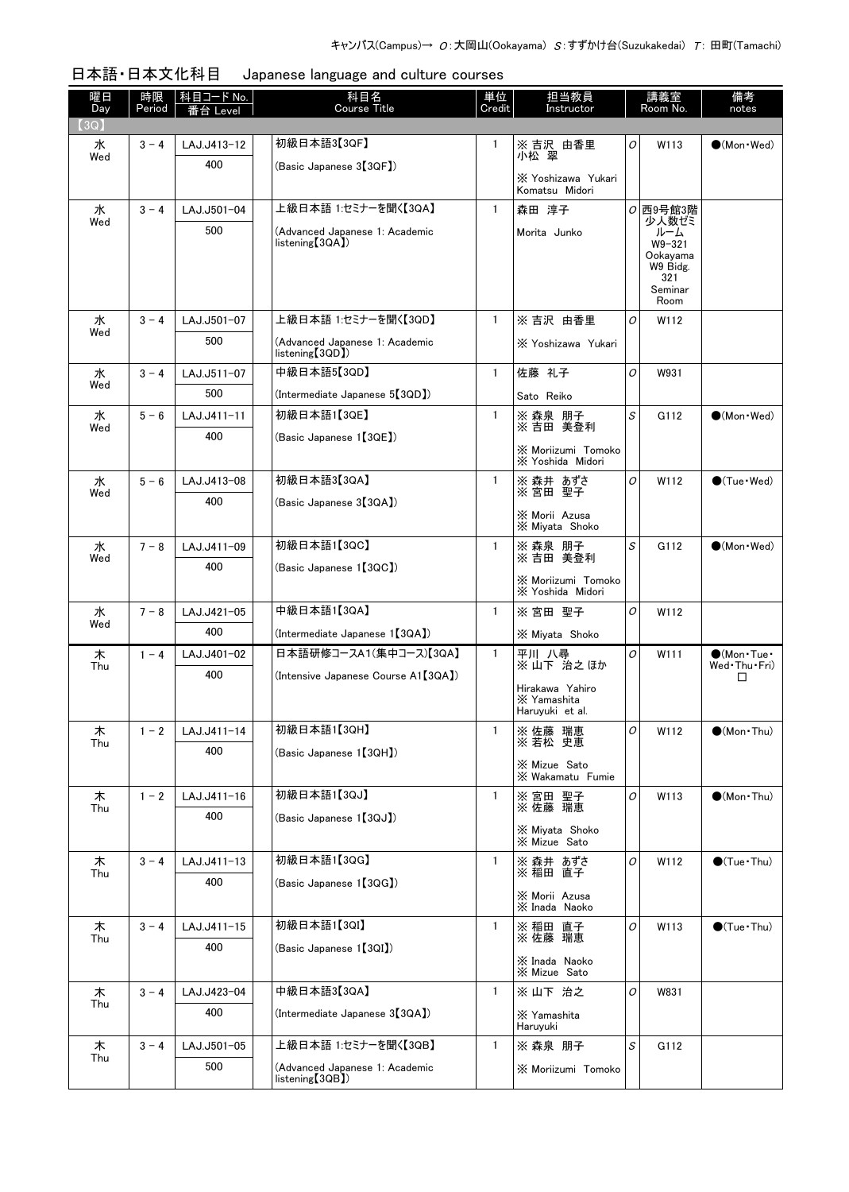| 日本語・日本文化科目 | Japanese language and culture courses |  |
|------------|---------------------------------------|--|
|------------|---------------------------------------|--|

| 曜日<br>Day | 時限<br>Period | 科目コード No.<br>番台 Level | 科目名<br><b>Course Title</b>                                     | 単位<br>Credit | 担当教員<br>Instructor                                 |   | 講義室<br>Room No.                                                              | 備考<br>notes                 |
|-----------|--------------|-----------------------|----------------------------------------------------------------|--------------|----------------------------------------------------|---|------------------------------------------------------------------------------|-----------------------------|
| (3Q)      |              |                       |                                                                |              |                                                    |   |                                                                              |                             |
| 水<br>Wed  | $3 - 4$      | LAJ.J413-12           | 初級日本語3【3QF】                                                    | 1            | ※吉沢 由香里<br>小松 翠                                    | O | W113                                                                         | $\bigcirc$ (Mon · Wed)      |
|           |              | 400                   | (Basic Japanese 3【3QF】)                                        |              | X Yoshizawa Yukari<br>Komatsu Midori               |   |                                                                              |                             |
| 水         | $3 - 4$      | LAJ.J501-04           | 上級日本語 1:セミナーを聞く【3QA】                                           | $\mathbf{1}$ | 森田 淳子                                              |   | $O$ 西9号館3階                                                                   |                             |
| Wed       |              | 500                   | (Advanced Japanese 1: Academic<br>listening[3QA])              |              | Morita Junko                                       |   | 少人数ゼミ<br>ルーム<br>$W9 - 321$<br>Ookayama<br>W9 Bidg.<br>321<br>Seminar<br>Room |                             |
| 水         | $3 - 4$      | LAJ.J501-07           | 上級日本語 1:セミナーを聞く【3QD】                                           | $\mathbf{1}$ | ※吉沢 由香里                                            | O | W112                                                                         |                             |
| Wed       |              | 500                   | (Advanced Japanese 1: Academic<br>listening[3QD])              |              | X Yoshizawa Yukari                                 |   |                                                                              |                             |
| 水         | $3 - 4$      | LAJ.J511-07           | 中級日本語5【3QD】                                                    | $\mathbf{1}$ | 佐藤 礼子                                              | O | W931                                                                         |                             |
| Wed       |              | 500                   | (Intermediate Japanese 5 <sup>[3QD])</sup>                     |              | Sato Reiko                                         |   |                                                                              |                             |
| 水         | $5 - 6$      | LAJ.J411-11           | 初級日本語1【3QE】                                                    | $\mathbf{1}$ | ※ 森泉 朋子                                            | S | G112                                                                         | $\bullet$ (Mon $\cdot$ Wed) |
| Wed       |              | 400                   | (Basic Japanese 1 [3QE])                                       |              | ※吉田 美登利<br>X Moriizumi Tomoko<br>X Yoshida Midori  |   |                                                                              |                             |
| 水         | $5 - 6$      | LAJ.J413-08           | 初級日本語3【3QA】                                                    | $\mathbf{1}$ | ※ 森井 あずさ<br>※宮田 聖子                                 | O | W112                                                                         | $\bullet$ (Tue · Wed)       |
| Wed       |              | 400                   | (Basic Japanese 3【3QA】)                                        |              | X Morii Azusa<br>X Miyata Shoko                    |   |                                                                              |                             |
| 水         | $7 - 8$      | LAJ.J411-09           | 初級日本語1【3QC】                                                    | $\mathbf{1}$ | ※ 森泉 朋子                                            | S | G112                                                                         | $\bigcirc$ (Mon · Wed)      |
| Wed       |              | 400                   | (Basic Japanese 1 [3QC])                                       |              | ※ 吉田 美登利<br>X Moriizumi Tomoko<br>X Yoshida Midori |   |                                                                              |                             |
| 水         | $7 - 8$      | LAJ.J421-05           | 中級日本語1【3QA】                                                    | $\mathbf{1}$ | ※宮田 聖子                                             | O | W112                                                                         |                             |
| Wed       |              | 400                   | (Intermediate Japanese 1 [3QA])                                |              | X Miyata Shoko                                     |   |                                                                              |                             |
| 木         | $1 - 4$      | LAJ.J401-02           | 日本語研修コースA1(集中コース)【3QA】                                         | 1            | 平川 八尋                                              | 0 | W111                                                                         | $\bigcirc$ (Mon Tue ·       |
| Thu       |              | 400                   | (Intensive Japanese Course A1 [3QA])                           |              | ※山下 治之ほか                                           |   |                                                                              | Wed Thu Fri)<br>$\Box$      |
|           |              |                       |                                                                |              | Hirakawa Yahiro<br>X Yamashita<br>Haruyuki et al.  |   |                                                                              |                             |
| 木         | $1 - 2$      | LAJ.J411-14           | 初級日本語1【3QH】                                                    | 1            | 瑞恵<br>※ 佐藤 瑞恵<br>※ 若松 史恵                           | 0 | W112                                                                         | $\bullet$ (Mon•Thu)         |
| Thu       |              | 400                   | (Basic Japanese 1【3QH】)                                        |              | ※ Mizue Sato<br>※ Wakamatu Fumie                   |   |                                                                              |                             |
|           |              | LAJ.J411-16           | 初級日本語1【3QJ】                                                    | $\mathbf{1}$ |                                                    | O | W113                                                                         | $\bullet$ (Mon Thu)         |
| 木<br>Thu  | $1 - 2$      | 400                   | (Basic Japanese 1【3QJ】)                                        |              | ※ 宮田 聖子<br>※ 佐藤 瑞恵                                 |   |                                                                              |                             |
|           |              |                       |                                                                |              | X Miyata Shoko<br>X Mizue Sato                     |   |                                                                              |                             |
| 木<br>Thu  | $3 - 4$      | LAJ.J411-13           | 初級日本語1【3QG】                                                    | 1            | ※ 森井 あずさ<br>※ 稲田 直子                                | O | W112                                                                         | $\bigcirc$ (Tue·Thu)        |
|           |              | 400                   | (Basic Japanese 1【3QG】)                                        |              | X Morii Azusa<br>X Inada Naoko                     |   |                                                                              |                             |
| 木         | $3 - 4$      | LAJ.J411-15           | 初級日本語1【3QI】                                                    | 1            | ※ 稲田 直子<br>※ 佐藤 瑞恵                                 | 0 | W113                                                                         | $\bigcirc$ (Tue · Thu)      |
| Thu       |              | 400                   | (Basic Japanese 1【3QI】)                                        |              |                                                    |   |                                                                              |                             |
|           |              |                       |                                                                |              | X Inada Naoko<br>X Mizue Sato                      |   |                                                                              |                             |
| 木<br>Thu  | $3 - 4$      | LAJ.J423-04           | 中級日本語3【3QA】                                                    | $\mathbf{1}$ | ※ 山下 治之                                            | 0 | W831                                                                         |                             |
|           |              | 400                   | (Intermediate Japanese 3[3QA])                                 |              | X Yamashita<br>Haruyuki                            |   |                                                                              |                             |
| 木<br>Thu  | $3 - 4$      | LAJ.J501-05           | 上級日本語 1:セミナーを聞く【3QB】                                           | $\mathbf{1}$ | ※ 森泉 朋子                                            | S | G112                                                                         |                             |
|           |              | 500                   | (Advanced Japanese 1: Academic<br>listening <sup>[3QB]</sup> ) |              | X Moriizumi Tomoko                                 |   |                                                                              |                             |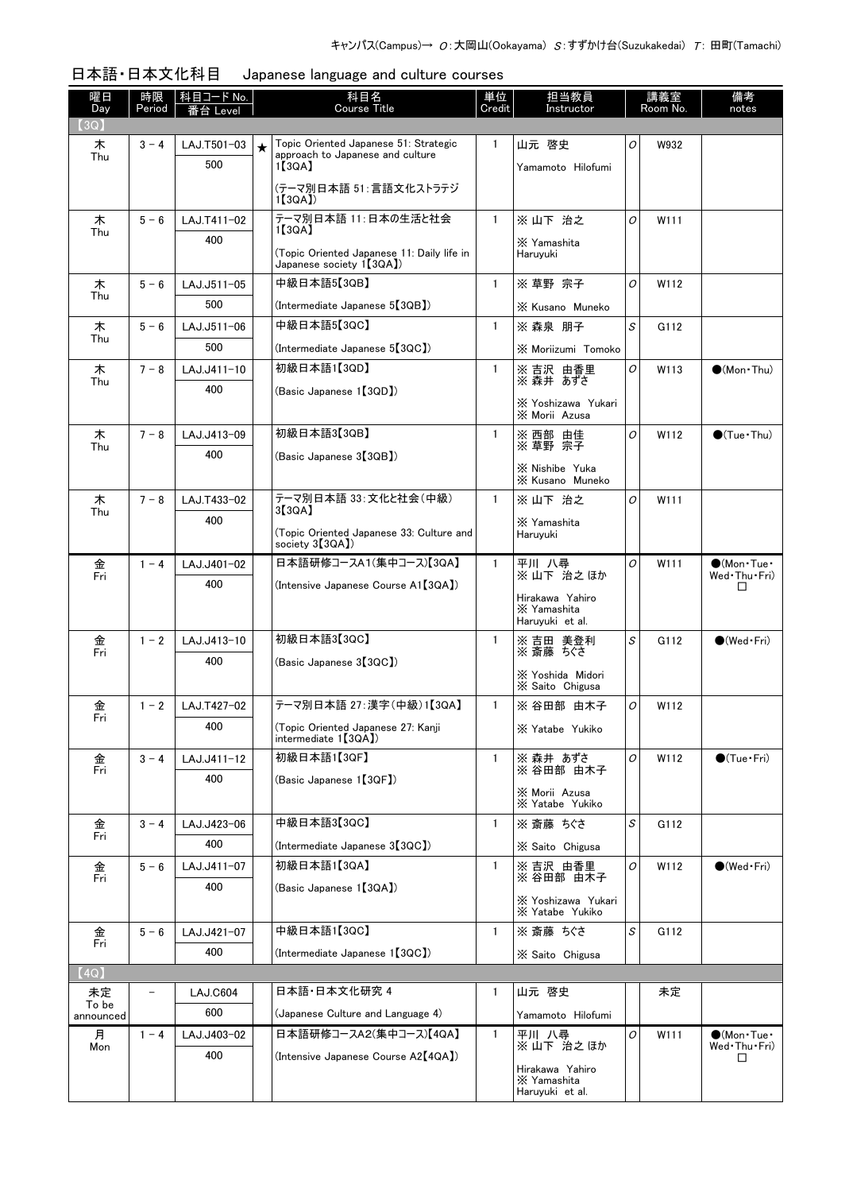| 曜日<br>Day   | 時限<br>Period | │科目コード No. │<br>番台 Level | 科目名<br>Course Title                                                                            | 単位<br>Credit | 担当教員<br>Instructor                                |                                                    | 講義室<br>Room No. | 備考<br>notes                         |
|-------------|--------------|--------------------------|------------------------------------------------------------------------------------------------|--------------|---------------------------------------------------|----------------------------------------------------|-----------------|-------------------------------------|
| 【3Q】        |              |                          |                                                                                                |              |                                                   |                                                    |                 |                                     |
| 木<br>Thu    | $3 - 4$      | LAJ.T501-03<br>500       | Topic Oriented Japanese 51: Strategic<br>$\star$<br>approach to Japanese and culture<br>1【3QA】 | 1            | 山元 啓史<br>Yamamoto Hilofumi                        | O                                                  | W932            |                                     |
|             |              |                          | (テーマ別日本語 51:言語文化ストラテジ<br>1[3QA]                                                                |              |                                                   |                                                    |                 |                                     |
| 木           | $5 - 6$      | LAJ.T411-02              | テーマ別日本語 11:日本の生活と社会<br>1[3QA]                                                                  | $\mathbf{1}$ | ※ 山下 治之                                           | O                                                  | W111            |                                     |
| Thu         |              | 400                      | (Topic Oriented Japanese 11: Daily life in<br>Japanese society 1 [3QA])                        |              | X Yamashita<br>Haruvuki                           |                                                    |                 |                                     |
| 木           | $5 - 6$      | LAJ.J511-05              | 中級日本語5【3QB】                                                                                    | $\mathbf{1}$ | ※ 草野 宗子                                           | $\mathcal{O}$                                      | W112            |                                     |
| Thu         |              | 500                      | (Intermediate Japanese 5【3QB】)                                                                 |              | X Kusano Muneko                                   |                                                    |                 |                                     |
| 木           | $5 - 6$      | LAJ.J511-06              | 中級日本語5【3QC】                                                                                    | $\mathbf{1}$ | ※ 森泉 朋子                                           | $\mathcal{S}% _{CS}^{(n)}:=\mathcal{S}_{CS}^{(n)}$ | G112            |                                     |
| Thu         |              | 500                      | (Intermediate Japanese 5【3QC】)                                                                 |              | X Moriizumi Tomoko                                |                                                    |                 |                                     |
| 木           | $7 - 8$      | LAJ.J411-10              | 初級日本語1【3QD】                                                                                    | $\mathbf{1}$ | ※吉沢 由香里                                           | O                                                  | W113            | $\bullet$ (Mon Thu)                 |
| Thu         |              | 400                      | (Basic Japanese 1【3QD】)                                                                        |              | ※ 森井 あずさ                                          |                                                    |                 |                                     |
|             |              |                          |                                                                                                |              | X Yoshizawa Yukari<br>X Morii Azusa               |                                                    |                 |                                     |
| 木<br>Thu    | $7 - 8$      | LAJ.J413-09              | 初級日本語3【3QB】                                                                                    | 1            | ※ 西部 由佳<br>※ 草野 宗子                                | 0                                                  | W112            | $\bigcirc$ (Tue · Thu)              |
|             |              | 400                      | (Basic Japanese 3【3QB】)                                                                        |              | X Nishibe Yuka                                    |                                                    |                 |                                     |
|             |              |                          |                                                                                                |              | X Kusano Muneko                                   |                                                    |                 |                                     |
| 木<br>Thu    | $7 - 8$      | LAJ.T433-02              | テーマ別日本語 33: 文化と社会(中級)<br>3[3QA]                                                                | $\mathbf{1}$ | ※ 山下 治之                                           | O                                                  | W111            |                                     |
|             |              | 400                      | (Topic Oriented Japanese 33: Culture and<br>society 3【3QA】)                                    |              | X Yamashita<br>Haruyuki                           |                                                    |                 |                                     |
| 金           | $1 - 4$      | LAJ.J401-02              | 日本語研修コースA1(集中コース)【3QA】                                                                         | $\mathbf{1}$ | 平川 八尋                                             | 0                                                  | W111            | $\bigcirc$ (Mon Tue $\cdot$         |
| Fri         |              | 400                      | (Intensive Japanese Course A1 [3QA])                                                           |              | ※山下 治之ほか                                          |                                                    |                 | Wed Thu Fri)<br>ப                   |
|             |              |                          |                                                                                                |              | Hirakawa Yahiro<br>X Yamashita<br>Haruyuki et al. |                                                    |                 |                                     |
| 金           | $1 - 2$      | LAJ.J413-10              | 初級日本語3【3QC】                                                                                    | $\mathbf{1}$ | ※ 吉田 美登利<br>※ 斎藤 ちぐさ                              | $\mathcal{S}% _{CS}^{(n)}:=\mathcal{S}_{CS}^{(n)}$ | G112            | $\bigcirc$ (Wed Fri)                |
| Fri         |              | 400                      | (Basic Japanese 3【3QC】)                                                                        |              |                                                   |                                                    |                 |                                     |
|             |              |                          |                                                                                                |              | X Yoshida Midori<br>X Saito Chigusa               |                                                    |                 |                                     |
| 金           | $1 - 2$      | LAJ.T427-02              | テーマ別日本語 27:漢字(中級)1【3QA】                                                                        | $\mathbf{1}$ | ※ 谷田部 由木子                                         | 0                                                  | W112            |                                     |
| Fri         |              | 400                      | (Topic Oriented Japanese 27: Kanji<br>intermediate 1【3QA】                                      |              | X Yatabe Yukiko                                   |                                                    |                 |                                     |
| 金           | $3 - 4$      | LAJ.J411-12              | 初級日本語1【3QF】                                                                                    | 1            | ※ 森井 あずさ                                          | O                                                  | W112            | $\bigcirc$ (Tue·Fri)                |
| Fri         |              | 400                      | (Basic Japanese 1【3QF】)                                                                        |              | ※ 谷田部 由木子                                         |                                                    |                 |                                     |
|             |              |                          |                                                                                                |              | X Morii Azusa<br>X Yatabe Yukiko                  |                                                    |                 |                                     |
| 金           | $3 - 4$      | LAJ.J423-06              | 中級日本語3【3QC】                                                                                    | 1            | ※ 斎藤 ちぐさ                                          | S                                                  | G112            |                                     |
| Fri         |              | 400                      | (Intermediate Japanese 3 <sup>[3QC]</sup> )                                                    |              | X Saito Chigusa                                   |                                                    |                 |                                     |
| 金           | $5 - 6$      | LAJ.J411-07              | 初級日本語1【3QA】                                                                                    | 1            | ※ 吉沢 由香里                                          | 0                                                  | W112            | $\bigcirc$ (Wed · Fri)              |
| Fri         |              | 400                      | (Basic Japanese 1 [3QA])                                                                       |              | ※ 谷田部 由不子                                         |                                                    |                 |                                     |
|             |              |                          |                                                                                                |              | X Yoshizawa Yukari<br>X Yatabe Yukiko             |                                                    |                 |                                     |
| 金           | $5 - 6$      | LAJ.J421-07              | 中級日本語1【3QC】                                                                                    | $\mathbf{1}$ | ※ 斎藤 ちぐさ                                          | S                                                  | G112            |                                     |
| Fri         |              | 400                      | (Intermediate Japanese 1 [3QC])                                                                |              | X Saito Chigusa                                   |                                                    |                 |                                     |
| (4Q)        |              |                          |                                                                                                |              |                                                   |                                                    |                 |                                     |
| 未定<br>To be | -            | LAJ.C604                 | 日本語•日本文化研究 4                                                                                   | 1            | 山元 啓史                                             |                                                    | 未定              |                                     |
| announced   |              | 600                      | (Japanese Culture and Language 4)                                                              |              | Yamamoto Hilofumi                                 |                                                    |                 |                                     |
| 月<br>Mon    | $1 - 4$      | LAJ.J403-02              | 日本語研修コースA2(集中コース)【4QA】                                                                         | -1           | 平川 八尋<br>※山下 治之ほか                                 | 0                                                  | W111            | $\bullet$ (Mon•Tue•<br>Wed Thu Fri) |
|             |              | 400                      | (Intensive Japanese Course A2[4QA])                                                            |              | Hirakawa Yahiro                                   |                                                    |                 | $\Box$                              |
|             |              |                          |                                                                                                |              | X Yamashita<br>Haruyuki et al.                    |                                                    |                 |                                     |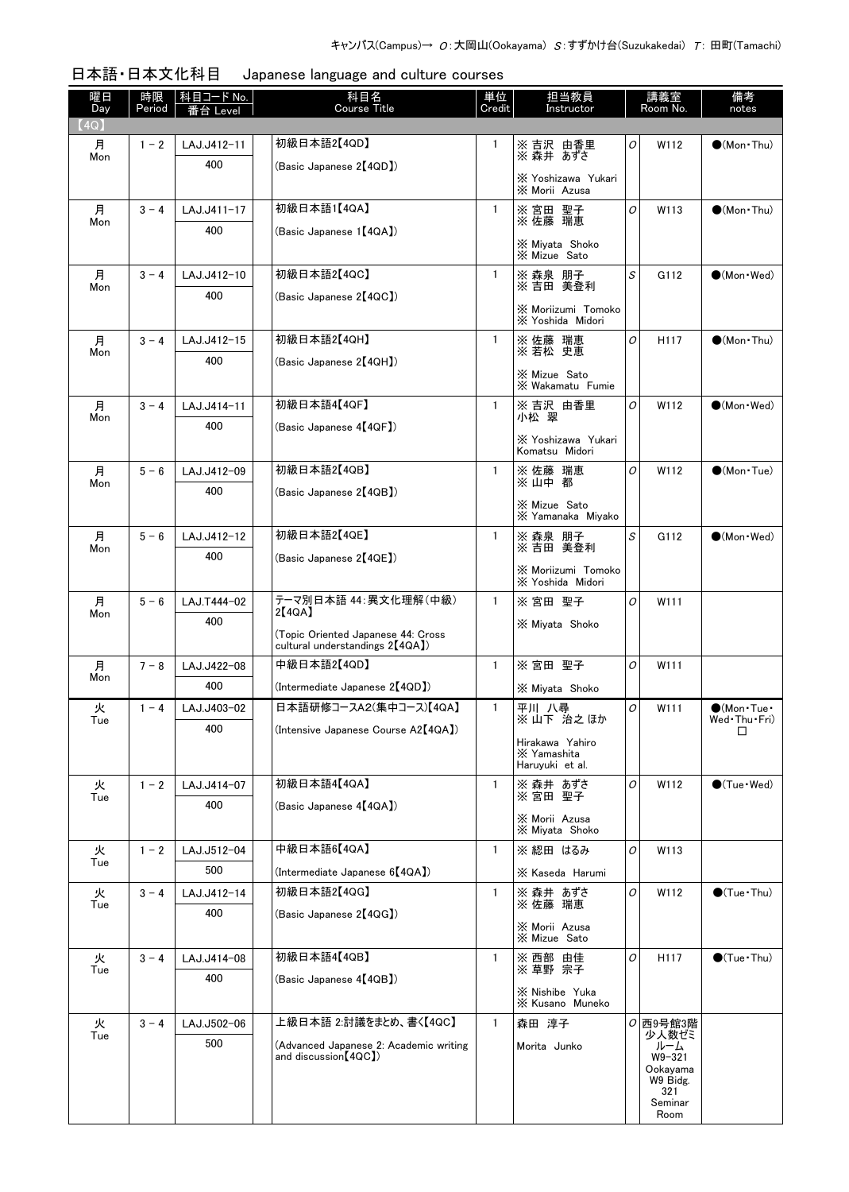| 曜日<br>Day | 時限<br>Period | 科目コード No.<br>番台 Le <u>ve</u> l | 科目名<br><b>Course Title</b>                                      | 単位<br>Credit | 担当教員<br>Instructor                     |                | 講義室<br>Room No.      | 備考<br>notes                             |
|-----------|--------------|--------------------------------|-----------------------------------------------------------------|--------------|----------------------------------------|----------------|----------------------|-----------------------------------------|
| (4Q)      |              |                                |                                                                 |              |                                        |                |                      |                                         |
| 月         | $1 - 2$      | LAJ.J412-11                    | 初級日本語2【4QD】                                                     |              | ※ 吉沢 由香里                               | 0              | W112                 | $\bullet$ (Mon Thu)                     |
| Mon       |              | 400                            | (Basic Japanese 2【4QD】)                                         |              | ※ 森井 あずさ                               |                |                      |                                         |
|           |              |                                |                                                                 |              | X Yoshizawa Yukari<br>X Morii Azusa    |                |                      |                                         |
| 月         | $3 - 4$      | LAJ.J411-17                    | 初級日本語1【4QA】                                                     | $\mathbf{1}$ | ※宮田 聖子<br>※佐藤 瑞恵                       | 0              | W113                 | $\bullet$ (Mon Thu)                     |
| Mon       |              | 400                            | (Basic Japanese 1【4QA】)                                         |              |                                        |                |                      |                                         |
|           |              |                                |                                                                 |              | X Miyata Shoko<br>X Mizue Sato         |                |                      |                                         |
| 月         | $3 - 4$      | LAJ.J412-10                    | 初級日本語2【4QC】                                                     | $\mathbf{1}$ | ※ 森泉 朋子<br>※ 吉田 美登利                    | S              | G112                 | $\bigcirc$ (Mon · Wed)                  |
| Mon       |              | 400                            | (Basic Japanese 2【4QC】)                                         |              |                                        |                |                      |                                         |
|           |              |                                |                                                                 |              | X Moriizumi Tomoko<br>X Yoshida Midori |                |                      |                                         |
| 月<br>Mon  | $3 - 4$      | LAJ.J412-15                    | 初級日本語2【4QH】                                                     | 1            | ※ 佐藤 瑞恵<br>※ 若松 史恵                     | O              | H <sub>117</sub>     | $\bullet$ (Mon Thu)                     |
|           |              | 400                            | (Basic Japanese 2【4QH】)                                         |              | X Mizue Sato                           |                |                      |                                         |
|           |              |                                |                                                                 |              | X Wakamatu Fumie                       |                |                      |                                         |
| 月<br>Mon  | $3 - 4$      | LAJ.J414-11                    | 初級日本語4【4QF】                                                     | $\mathbf{1}$ | ※ 吉沢 由香里<br>小松 翠                       | $\overline{O}$ | W112                 | $\bigcirc$ (Mon · Wed)                  |
|           |              | 400                            | (Basic Japanese 4【4QF】)                                         |              | X Yoshizawa Yukari                     |                |                      |                                         |
|           |              |                                |                                                                 |              | Komatsu Midori                         |                |                      |                                         |
| 月<br>Mon  | $5 - 6$      | LAJ.J412-09                    | 初級日本語2【4QB】                                                     | 1            | ※ 佐藤 瑞恵<br>※山中 都                       | O              | W112                 | $(Mon \cdot Tue)$                       |
|           |              | 400                            | (Basic Japanese 2【4QB】)                                         |              | X Mizue Sato                           |                |                      |                                         |
|           |              |                                |                                                                 |              | X Yamanaka Miyako                      |                |                      |                                         |
| 月<br>Mon  | $5 - 6$      | LAJ.J412-12                    | 初級日本語2【4QE】                                                     | 1            | ※ 森泉 朋子<br>※吉田 美登利                     | S              | G112                 | $\bullet$ (Mon $\cdot$ Wed)             |
|           |              | 400                            | (Basic Japanese 2【4QE】)                                         |              | X Moriizumi Tomoko                     |                |                      |                                         |
|           |              |                                |                                                                 |              | X Yoshida Midori                       |                |                      |                                         |
| 月<br>Mon  | $5 - 6$      | LAJ.T444-02                    | テーマ別日本語 44: 異文化理解(中級)<br>2【4QA】                                 | $\mathbf{1}$ | ※宮田 聖子                                 | $\overline{O}$ | W111                 |                                         |
|           |              | 400                            | (Topic Oriented Japanese 44: Cross                              |              | X Miyata Shoko                         |                |                      |                                         |
|           |              |                                | cultural understandings 2 <sup>[4QA]</sup> )                    |              |                                        |                |                      |                                         |
| 月<br>Mon  | $7 - 8$      | LAJ.J422-08                    | 中級日本語2【4QD】                                                     | 1            | ※宮田 聖子                                 | 0              | W111                 |                                         |
|           |              | 400                            | (Intermediate Japanese 2【4QD】)                                  |              | X Miyata Shoko                         |                |                      |                                         |
| 火<br>I ue | $1 - 4$      | LAJ.J403-02                    | 日本語研修コースA2(集中コース)【4QA】                                          | $\mathbf{1}$ | 平川 八尋<br>※山下 治之ほか                      | 0              | W111                 | $\bullet$ (Mon·Tue·<br>Wed · Thu · Fri) |
|           |              | 400                            | (Intensive Japanese Course A2【4QA】)                             |              | Hirakawa Yahiro                        |                |                      |                                         |
|           |              |                                |                                                                 |              | X Yamashita<br>Haruyuki et al.         |                |                      |                                         |
| 火         | $1 - 2$      | LAJ.J414-07                    | 初級日本語4【4QA】                                                     | $\mathbf{1}$ | ※ 森井 あずさ                               | O              | W112                 | $\bullet$ (Tue $\cdot$ Wed)             |
| Tue       |              | 400                            | (Basic Japanese 4【4QA】)                                         |              | ※宮田 聖子                                 |                |                      |                                         |
|           |              |                                |                                                                 |              | X Morii Azusa<br>X Miyata Shoko        |                |                      |                                         |
| 火<br>Tue  | $1 - 2$      | LAJ.J512-04                    | 中級日本語6【4QA】                                                     | 1            | ※ 綛田 はるみ                               | 0              | W113                 |                                         |
|           |              | 500                            | (Intermediate Japanese 6 <sup>[4QA])</sup>                      |              | X Kaseda Harumi                        |                |                      |                                         |
| 火         | $3 - 4$      | LAJ.J412-14                    | 初級日本語2【4QG】                                                     | 1            | ※ 森井 あずさ<br>※ 佐藤 瑞恵                    | O              | W112                 | $\bullet$ (Tue • Thu)                   |
| Tue       |              | 400                            | (Basic Japanese 2【4QG】)                                         |              |                                        |                |                      |                                         |
|           |              |                                |                                                                 |              | X Morii Azusa<br>X Mizue Sato          |                |                      |                                         |
| 火<br>Tue  | $3 - 4$      | LAJ.J414-08                    | 初級日本語4【4QB】                                                     | $\mathbf{1}$ | ※西部 由佳<br>※ 草野 宗子                      | O              | H <sub>117</sub>     | $\bigcirc$ (Tue · Thu)                  |
|           |              | 400                            | (Basic Japanese 4【4QB】)                                         |              | X Nishibe Yuka                         |                |                      |                                         |
|           |              |                                |                                                                 |              | X Kusano Muneko                        |                |                      |                                         |
| 火<br>Tue  | $3 - 4$      | LAJ.J502-06                    | 上級日本語 2:討議をまとめ、書く【4QC】                                          | $\mathbf{1}$ | 森田 淳子                                  |                | $O$ 西9号館3階<br>少人数ゼミ  |                                         |
|           |              | 500                            | (Advanced Japanese 2: Academic writing<br>and discussion [4QC]) |              | Morita Junko                           |                | ルーム<br>$W9 - 321$    |                                         |
|           |              |                                |                                                                 |              |                                        |                | Ookayama<br>W9 Bidg. |                                         |
|           |              |                                |                                                                 |              |                                        |                | 321                  |                                         |
|           |              |                                |                                                                 |              |                                        |                | Seminar<br>Room      |                                         |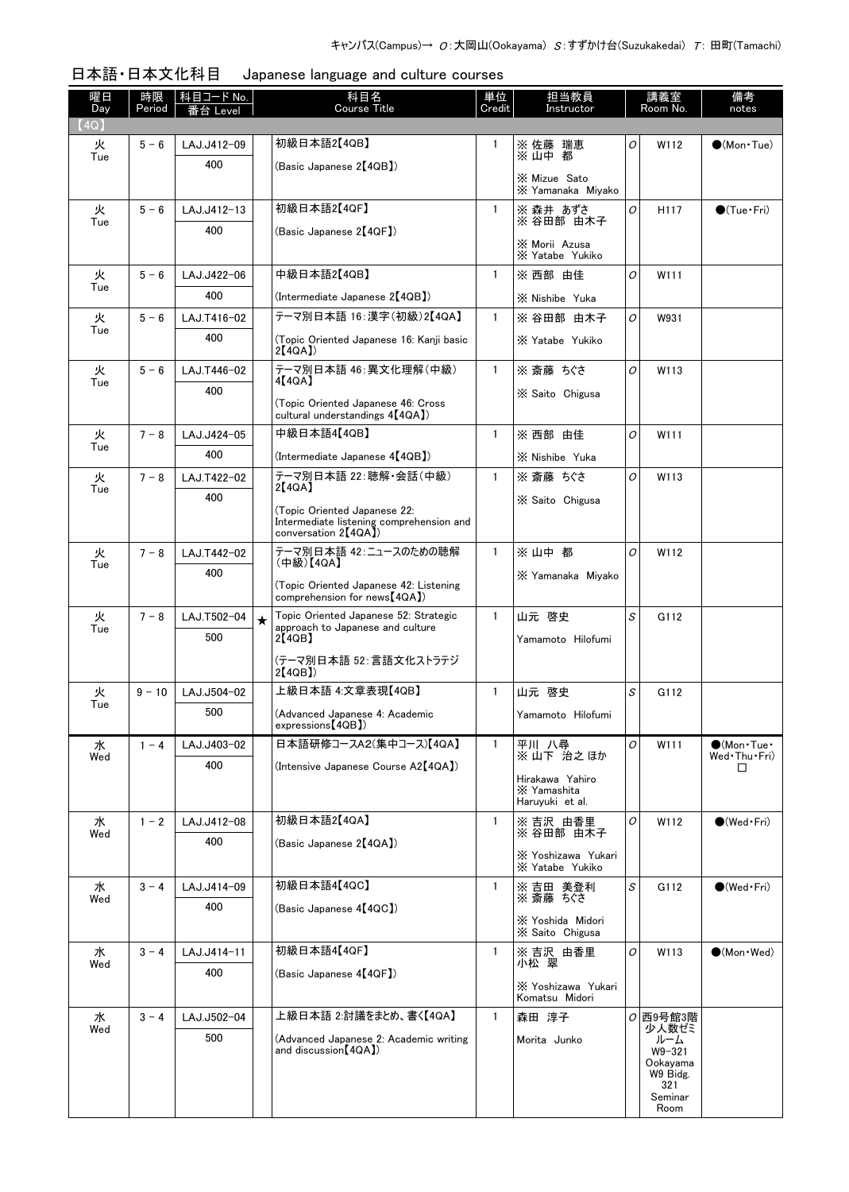| 日本語·日本文化科目 |  | Japanese language and culture courses |
|------------|--|---------------------------------------|
|------------|--|---------------------------------------|

| 曜日<br>Day | 時限<br>Period | 科目コード No.<br>≸台 Level |         | 科目名<br><b>Course Title</b>                                                         | 単位<br>Credit | 担当教員<br>Instructor                    |   | 講義室<br>Room No.     | 備考<br>notes                          |
|-----------|--------------|-----------------------|---------|------------------------------------------------------------------------------------|--------------|---------------------------------------|---|---------------------|--------------------------------------|
| (4Q)      |              |                       |         |                                                                                    |              |                                       |   |                     |                                      |
| 火<br>Tue  | $5 - 6$      | LAJ.J412-09           |         | 初級日本語2【4QB】                                                                        |              | ※佐藤 瑞恵<br>※山中 都                       | O | W112                | $\bullet$ (Mon $\cdot$ Tue)          |
|           |              | 400                   |         | (Basic Japanese 2【4QB】)                                                            |              | X Mizue Sato                          |   |                     |                                      |
|           |              |                       |         |                                                                                    |              | X Yamanaka Miyako                     |   |                     |                                      |
| 火<br>Tue  | $5 - 6$      | LAJ.J412-13           |         | 初級日本語2【4QF】                                                                        | $\mathbf{1}$ | ※ 森井 あずさ<br>※ 谷田部 由木子                 | 0 | H117                | $\bullet$ (Tue•Fri)                  |
|           |              | 400                   |         | (Basic Japanese 2【4QF】)                                                            |              | X Morii Azusa                         |   |                     |                                      |
|           |              |                       |         |                                                                                    |              | X Yatabe Yukiko                       |   |                     |                                      |
| 火<br>Tue  | $5 - 6$      | LAJ.J422-06           |         | 中級日本語2【4QB】                                                                        | $\mathbf{1}$ | ※西部由佳                                 | O | W111                |                                      |
|           |              | 400                   |         | (Intermediate Japanese 2【4QB】)                                                     |              | X Nishibe Yuka                        |   |                     |                                      |
| 火<br>Tue  | $5 - 6$      | LAJ.T416-02           |         | テーマ別日本語 16:漢字(初級)2【4QA】                                                            | $\mathbf{1}$ | ※ 谷田部 由木子                             | 0 | W931                |                                      |
|           |              | 400                   |         | (Topic Oriented Japanese 16: Kanji basic<br>2[4QA])                                |              | X Yatabe Yukiko                       |   |                     |                                      |
| 火<br>Tue  | $5 - 6$      | LAJ.T446-02           |         | テーマ別日本語 46:異文化理解(中級)<br>4 <b>(</b> 4 Q A )                                         | $\mathbf{1}$ | ※ 斎藤 ちぐさ                              | O | W113                |                                      |
|           |              | 400                   |         | (Topic Oriented Japanese 46: Cross                                                 |              | X Saito Chigusa                       |   |                     |                                      |
|           |              |                       |         | cultural understandings 4[4QA])                                                    |              |                                       |   |                     |                                      |
| 火<br>Tue  | $7 - 8$      | LAJ.J424-05           |         | 中級日本語4【4QB】                                                                        | $\mathbf{1}$ | ※ 西部 由佳                               | O | W111                |                                      |
|           |              | 400                   |         | (Intermediate Japanese 4 [4 Q B ])                                                 |              | X Nishibe Yuka                        |   |                     |                                      |
| 火<br>Tue  | $7 - 8$      | LAJ.T422-02           |         | テーマ別日本語 22:聴解・会話(中級)<br>2[4QA]                                                     | $\mathbf{1}$ | ※ 斎藤 ちぐさ                              | O | W113                |                                      |
|           |              | 400                   |         | (Topic Oriented Japanese 22:                                                       |              | X Saito Chigusa                       |   |                     |                                      |
|           |              |                       |         | Intermediate listening comprehension and<br>conversation 2 <sup>[4QA]</sup> )      |              |                                       |   |                     |                                      |
| 火         | $7 - 8$      | LAJ.T442-02           |         | テーマ別日本語 42:ニュースのための聴解                                                              | $\mathbf{1}$ | ※山中都                                  | O | W112                |                                      |
| Tue       |              | 400                   |         | (中級)【4QA】                                                                          |              | X Yamanaka Miyako                     |   |                     |                                      |
|           |              |                       |         | (Topic Oriented Japanese 42: Listening<br>comprehension for news <sup>[4QA])</sup> |              |                                       |   |                     |                                      |
| 火         | $7 - 8$      | LAJ.T502-04           | $\star$ | Topic Oriented Japanese 52: Strategic<br>approach to Japanese and culture          | $\mathbf{1}$ | 山元 啓史                                 | S | G112                |                                      |
| Tue       |              | 500                   |         | 2[4QB]                                                                             |              | Yamamoto Hilofumi                     |   |                     |                                      |
|           |              |                       |         | (テーマ別日本語 52:言語文化ストラテジ<br>2[4QB]                                                    |              |                                       |   |                     |                                      |
| 火         | $9 - 10$     | LAJ.J504-02           |         | 上級日本語 4:文章表現【4QB】                                                                  | $\mathbf{1}$ | 山元 啓史                                 | S | G112                |                                      |
| Tue       |              | 500                   |         | (Advanced Japanese 4: Academic                                                     |              | Yamamoto Hilofumi                     |   |                     |                                      |
|           |              |                       |         | expressions <sup>[4QB]</sup> )                                                     |              |                                       |   |                     |                                      |
| 水<br>Wed  | $1 - 4$      | LAJ.J403-02           |         | 日本語研修コースA2(集中コース)【4QA】                                                             | $\mathbf{1}$ | 平川 八尋<br>※ 山下 治之 ほか                   | 0 | W111                | $\bigcirc$ (Mon·Tue·<br>Wed Thu Fri) |
|           |              | 400                   |         | (Intensive Japanese Course A2【4QA】)                                                |              | Hirakawa Yahiro                       |   |                     | □                                    |
|           |              |                       |         |                                                                                    |              | X Yamashita<br>Haruyuki et al.        |   |                     |                                      |
| 水         | $1 - 2$      | LAJ.J412-08           |         | 初級日本語2【4QA】                                                                        | $\mathbf{1}$ | ※ 吉沢 由香里                              | 0 | W112                | $\bullet$ (Wed Fri)                  |
| Wed       |              | 400                   |         | (Basic Japanese 2【4QA】)                                                            |              | ※ 谷田部 由木子                             |   |                     |                                      |
|           |              |                       |         |                                                                                    |              | X Yoshizawa Yukari<br>X Yatabe Yukiko |   |                     |                                      |
| 水         | $3 - 4$      | LAJ.J414-09           |         | 初級日本語4【4QC】                                                                        | $\mathbf{1}$ | ※ 吉田 美登利<br>※ 斎藤 ちぐさ                  | S | G112                | $\bullet$ (Wed Fri)                  |
| Wed       |              | 400                   |         | (Basic Japanese 4【4QC】)                                                            |              |                                       |   |                     |                                      |
|           |              |                       |         |                                                                                    |              | X Yoshida Midori<br>X Saito Chigusa   |   |                     |                                      |
| 水         | $3 - 4$      | LAJ.J414-11           |         | 初級日本語4【4QF】                                                                        | $\mathbf{1}$ | ※ 吉沢 由香里<br>小松 翠                      | O | W113                | $\bullet$ (Mon $\cdot$ Wed)          |
| Wed       |              | 400                   |         | (Basic Japanese 4【4QF】)                                                            |              |                                       |   |                     |                                      |
|           |              |                       |         |                                                                                    |              | X Yoshizawa Yukari<br>Komatsu Midori  |   |                     |                                      |
| 水<br>Wed  | $3 - 4$      | LAJ.J502-04           |         | 上級日本語 2:討議をまとめ、書く【4QA】                                                             | $\mathbf{1}$ | 森田 淳子                                 |   | $O$ 西9号館3階<br>少人数ゼミ |                                      |
|           |              | 500                   |         | (Advanced Japanese 2: Academic writing<br>and discussion【4QA】)                     |              | Morita Junko                          |   | ルーム                 |                                      |
|           |              |                       |         |                                                                                    |              |                                       |   | W9-321<br>Ookayama  |                                      |
|           |              |                       |         |                                                                                    |              |                                       |   | W9 Bidg.<br>321     |                                      |
|           |              |                       |         |                                                                                    |              |                                       |   | Seminar<br>Room     |                                      |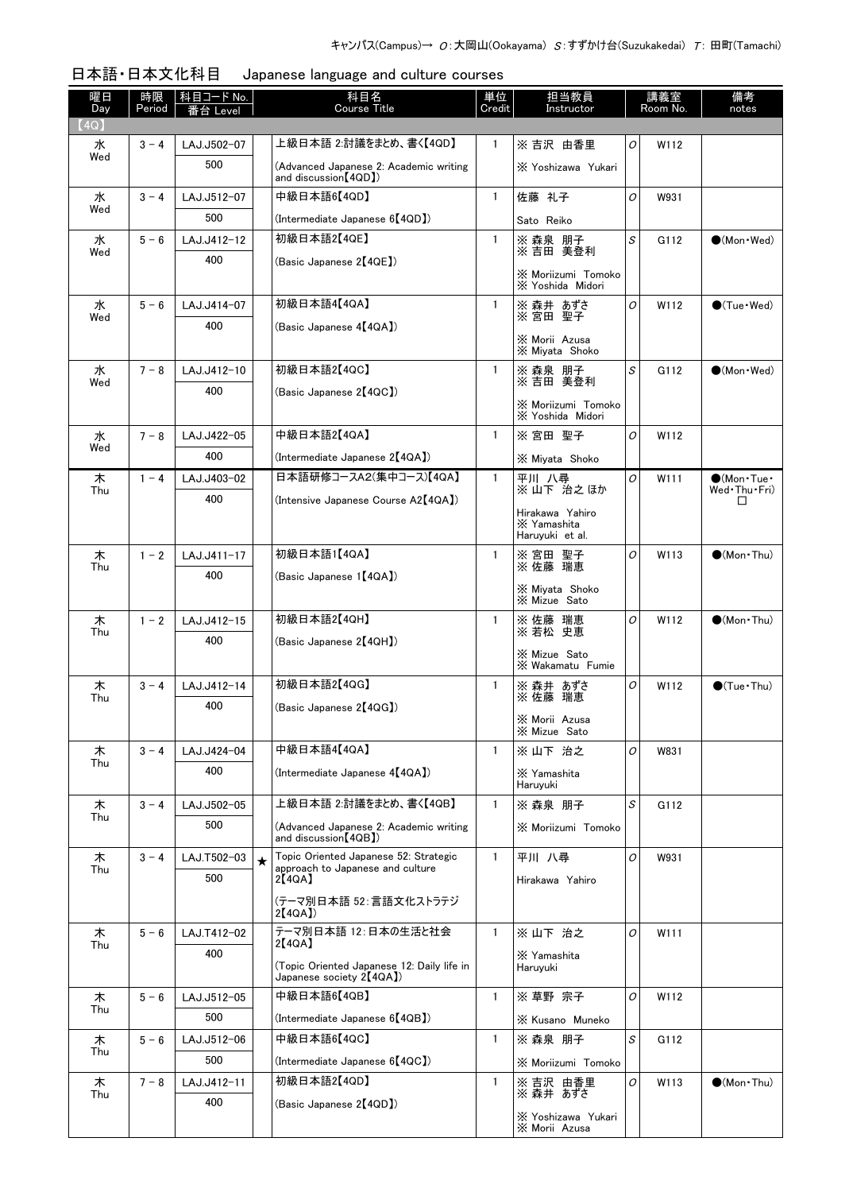| 曜日<br>Day | 時限<br>Period | 科目コード No.   |         | 科目名<br><b>Course Title</b>                                                | 単位<br>Credit | 担当教員<br>Instructor                                |          | 講義室<br>Room No. | 備考<br>notes                 |
|-----------|--------------|-------------|---------|---------------------------------------------------------------------------|--------------|---------------------------------------------------|----------|-----------------|-----------------------------|
| (4Q)      |              | _evel       |         |                                                                           |              |                                                   |          |                 |                             |
| 水         | $3 - 4$      | LAJ.J502-07 |         | 上級日本語 2:討議をまとめ、書く【4QD】                                                    | $\mathbf{1}$ | ※吉沢 由香里                                           | O        | W112            |                             |
| Wed       |              | 500         |         | (Advanced Japanese 2: Academic writing<br>and discussion (4QD)            |              | X Yoshizawa Yukari                                |          |                 |                             |
| 水<br>Wed  | $3 - 4$      | LAJ.J512-07 |         | 中級日本語6【4QD】                                                               | $\mathbf{1}$ | 佐藤 礼子                                             | O        | W931            |                             |
|           |              | 500         |         | (Intermediate Japanese 6 <sup>[4QD])</sup>                                |              | Sato Reiko                                        |          |                 |                             |
| 水<br>Wed  | $5 - 6$      | LAJ.J412-12 |         | 初級日本語2【4QE】                                                               | $\mathbf{1}$ | ※ 森泉 朋子<br>※ 吉田 美登利                               | S        | G112            | $\bullet$ (Mon $\cdot$ Wed) |
|           |              | 400         |         | (Basic Japanese 2【4QE】)                                                   |              | X Moriizumi Tomoko<br>X Yoshida Midori            |          |                 |                             |
| 水         | $5 - 6$      | LAJ.J414-07 |         | 初級日本語4【4QA】                                                               | $\mathbf{1}$ | ※ 森井 あずさ<br>※ 宮田 聖子                               | 0        | W112            | $\bigcirc$ (Tue · Wed)      |
| Wed       |              | 400         |         | (Basic Japanese 4【4QA】)                                                   |              |                                                   |          |                 |                             |
|           |              |             |         |                                                                           |              | X Morii Azusa<br>X Miyata Shoko                   |          |                 |                             |
| 水         | $7 - 8$      | LAJ.J412-10 |         | 初級日本語2【4QC】                                                               | $\mathbf{1}$ | ※ 森泉 朋子                                           | S        | G112            | $\bullet$ (Mon $\cdot$ Wed) |
| Wed       |              | 400         |         | (Basic Japanese 2【4QC】)                                                   |              | ※吉田 美登利                                           |          |                 |                             |
|           |              |             |         |                                                                           |              | X Moriizumi Tomoko<br>X Yoshida Midori            |          |                 |                             |
| 水         | $7 - 8$      | LAJ.J422-05 |         | 中級日本語2【4QA】                                                               | $\mathbf{1}$ | ※宮田 聖子                                            | O        | W112            |                             |
| Wed       |              | 400         |         | (Intermediate Japanese 2 <sup>[4QA])</sup>                                |              | X Miyata Shoko                                    |          |                 |                             |
| 木         | $1 - 4$      | LAJ.J403-02 |         | 日本語研修コースA2(集中コース)【4QA】                                                    | $\mathbf{1}$ | 平川 八尋<br>※山下 治之ほか                                 | O        | W111            | $\bullet$ (Mon•Tue•         |
| Thu       |              | 400         |         | (Intensive Japanese Course A2[4QA])                                       |              |                                                   |          |                 | Wed•Thu•Fri)<br>□           |
|           |              |             |         |                                                                           |              | Hirakawa Yahiro<br>X Yamashita<br>Haruyuki et al. |          |                 |                             |
| 木<br>Thu  | $1 - 2$      | LAJ.J411-17 |         | 初級日本語1【4QA】                                                               | $\mathbf{1}$ | 聖子<br>※ 宮田 聖子<br>※ 佐藤 瑞恵                          | 0        | W113            | $\bullet$ (Mon Thu)         |
|           |              | 400         |         | (Basic Japanese 1【4QA】)                                                   |              | ※ Miyata Shoko<br>※ Mizue Sato                    |          |                 |                             |
| 木         | $1 - 2$      | LAJ.J412-15 |         | 初級日本語2【4QH】                                                               | $\mathbf{1}$ | ※佐藤 瑞恵                                            | O        | W112            | $(Mon\cdot Thu)$            |
| Thu       |              | 400         |         | (Basic Japanese 2【4QH】)                                                   |              | ※若松 史恵                                            |          |                 |                             |
|           |              |             |         |                                                                           |              | X Mizue Sato<br>X Wakamatu Fumie                  |          |                 |                             |
| 木         | $3 - 4$      | LAJ.J412-14 |         | 初級日本語2【4QG】                                                               | $\mathbf{1}$ | ※ 森井 あずさ                                          | 0        | W112            | $\bigcirc$ (Tue · Thu)      |
| Thu       |              | 400         |         | (Basic Japanese 2【4QG】)                                                   |              | ※佐藤 瑞恵                                            |          |                 |                             |
|           |              |             |         |                                                                           |              | X Morii Azusa<br>X Mizue Sato                     |          |                 |                             |
| 木         | $3 - 4$      | LAJ.J424-04 |         | 中級日本語4【4QA】                                                               | $\mathbf{1}$ | ※ 山下 治之                                           | 0        | W831            |                             |
| Thu       |              | 400         |         | (Intermediate Japanese 4【4QA】)                                            |              | X Yamashita                                       |          |                 |                             |
|           |              |             |         |                                                                           |              | Haruyuki                                          |          |                 |                             |
| 木<br>Thu  | $3 - 4$      | LAJ.J502-05 |         | 上級日本語 2:討議をまとめ、書く【4QB】                                                    | $\mathbf{1}$ | ※ 森泉 朋子                                           | S        | G112            |                             |
|           |              | 500         |         | (Advanced Japanese 2: Academic writing<br>and discussion [4QB])           |              | X Moriizumi Tomoko                                |          |                 |                             |
| 木<br>Thu  | $3 - 4$      | LAJ.T502-03 | $\star$ | Topic Oriented Japanese 52: Strategic<br>approach to Japanese and culture | $\mathbf{1}$ | 平川 八尋                                             | $\Omega$ | W931            |                             |
|           |              | 500         |         | 2[4QA]                                                                    |              | Hirakawa Yahiro                                   |          |                 |                             |
|           |              |             |         | (テーマ別日本語 52:言語文化ストラテジ<br>2[4QA]                                           |              |                                                   |          |                 |                             |
| 木         | $5 - 6$      | LAJ.T412-02 |         | テーマ別日本語 12:日本の生活と社会                                                       | $\mathbf{1}$ | ※ 山下 治之                                           | O        | W111            |                             |
| Thu       |              | 400         |         | 2[4QA]                                                                    |              | X Yamashita                                       |          |                 |                             |
|           |              |             |         | (Topic Oriented Japanese 12: Daily life in<br>Japanese society $2[4QA]$   |              | Haruyuki                                          |          |                 |                             |
| 木         | $5 - 6$      | LAJ.J512-05 |         | 中級日本語6【4QB】                                                               | $\mathbf{1}$ | ※ 草野 宗子                                           | 0        | W112            |                             |
| Thu       |              | 500         |         | (Intermediate Japanese 6【4QB】)                                            |              | X Kusano Muneko                                   |          |                 |                             |
| 木         | $5 - 6$      | LAJ.J512-06 |         | 中級日本語6【4QC】                                                               | $\mathbf{1}$ | ※ 森泉 朋子                                           | S        | G112            |                             |
| Thu       |              | 500         |         | (Intermediate Japanese 6[4QC])                                            |              | X Moriizumi Tomoko                                |          |                 |                             |
| 木         | $7 - 8$      | LAJ.J412-11 |         | 初級日本語2【4QD】                                                               | 1            | ※ 吉沢 由香里                                          | 0        | W113            | $\bigcirc$ (Mon Thu)        |
| Thu       |              | 400         |         | (Basic Japanese 2【4QD】)                                                   |              | ※ 森井 あずさ                                          |          |                 |                             |
|           |              |             |         |                                                                           |              | X Yoshizawa Yukari<br>X Morii Azusa               |          |                 |                             |